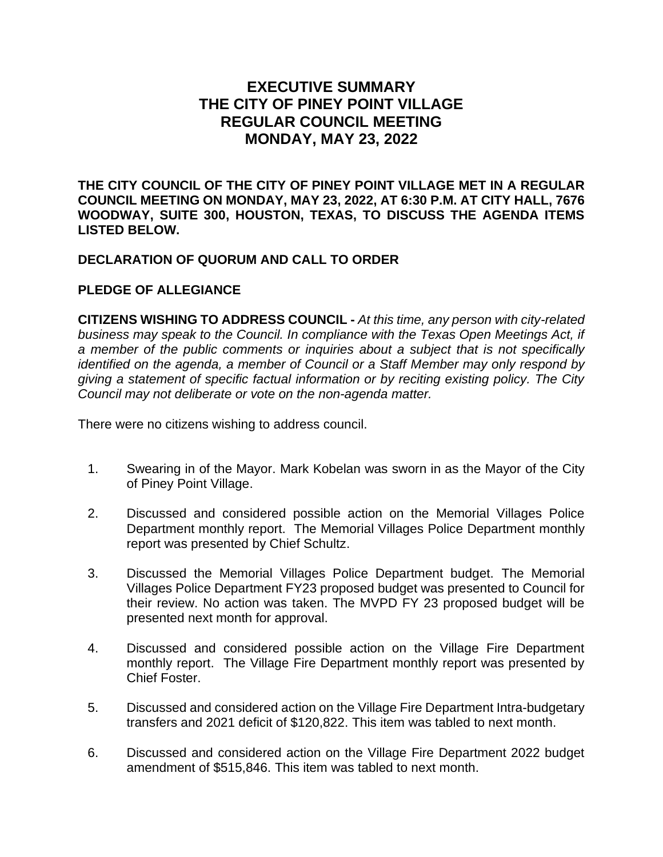## **EXECUTIVE SUMMARY THE CITY OF PINEY POINT VILLAGE REGULAR COUNCIL MEETING MONDAY, MAY 23, 2022**

**THE CITY COUNCIL OF THE CITY OF PINEY POINT VILLAGE MET IN A REGULAR COUNCIL MEETING ON MONDAY, MAY 23, 2022, AT 6:30 P.M. AT CITY HALL, 7676 WOODWAY, SUITE 300, HOUSTON, TEXAS, TO DISCUSS THE AGENDA ITEMS LISTED BELOW.** 

## **DECLARATION OF QUORUM AND CALL TO ORDER**

## **PLEDGE OF ALLEGIANCE**

**CITIZENS WISHING TO ADDRESS COUNCIL -** *At this time, any person with city-related business may speak to the Council. In compliance with the Texas Open Meetings Act, if a member of the public comments or inquiries about a subject that is not specifically identified on the agenda, a member of Council or a Staff Member may only respond by giving a statement of specific factual information or by reciting existing policy. The City Council may not deliberate or vote on the non-agenda matter.*

There were no citizens wishing to address council.

- 1. Swearing in of the Mayor. Mark Kobelan was sworn in as the Mayor of the City of Piney Point Village.
- 2. Discussed and considered possible action on the Memorial Villages Police Department monthly report. The Memorial Villages Police Department monthly report was presented by Chief Schultz.
- 3. Discussed the Memorial Villages Police Department budget. The Memorial Villages Police Department FY23 proposed budget was presented to Council for their review. No action was taken. The MVPD FY 23 proposed budget will be presented next month for approval.
- 4. Discussed and considered possible action on the Village Fire Department monthly report. The Village Fire Department monthly report was presented by Chief Foster.
- 5. Discussed and considered action on the Village Fire Department Intra-budgetary transfers and 2021 deficit of \$120,822. This item was tabled to next month.
- 6. Discussed and considered action on the Village Fire Department 2022 budget amendment of \$515,846. This item was tabled to next month.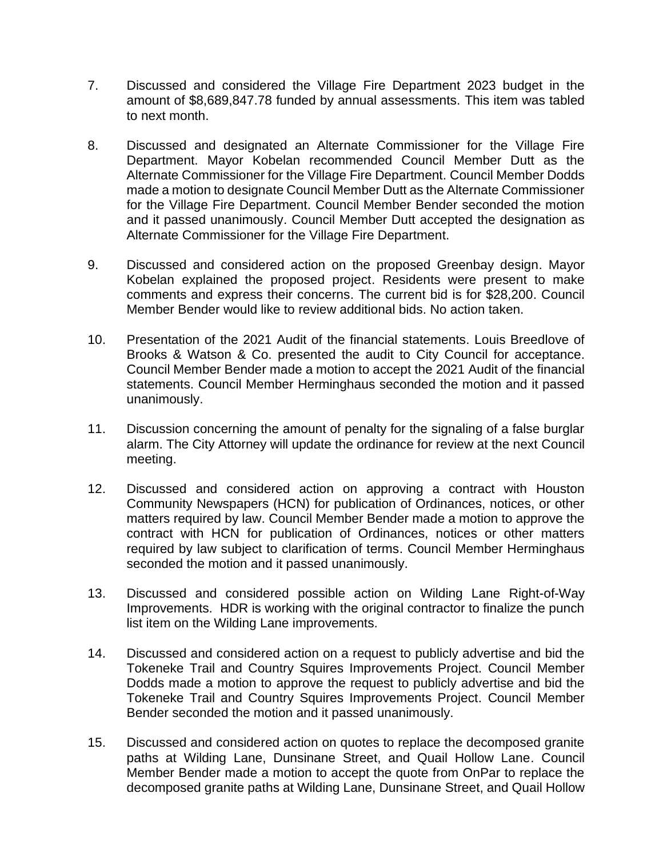- 7. Discussed and considered the Village Fire Department 2023 budget in the amount of \$8,689,847.78 funded by annual assessments. This item was tabled to next month.
- 8. Discussed and designated an Alternate Commissioner for the Village Fire Department. Mayor Kobelan recommended Council Member Dutt as the Alternate Commissioner for the Village Fire Department. Council Member Dodds made a motion to designate Council Member Dutt as the Alternate Commissioner for the Village Fire Department. Council Member Bender seconded the motion and it passed unanimously. Council Member Dutt accepted the designation as Alternate Commissioner for the Village Fire Department.
- 9. Discussed and considered action on the proposed Greenbay design. Mayor Kobelan explained the proposed project. Residents were present to make comments and express their concerns. The current bid is for \$28,200. Council Member Bender would like to review additional bids. No action taken.
- 10. Presentation of the 2021 Audit of the financial statements. Louis Breedlove of Brooks & Watson & Co. presented the audit to City Council for acceptance. Council Member Bender made a motion to accept the 2021 Audit of the financial statements. Council Member Herminghaus seconded the motion and it passed unanimously.
- 11. Discussion concerning the amount of penalty for the signaling of a false burglar alarm. The City Attorney will update the ordinance for review at the next Council meeting.
- 12. Discussed and considered action on approving a contract with Houston Community Newspapers (HCN) for publication of Ordinances, notices, or other matters required by law. Council Member Bender made a motion to approve the contract with HCN for publication of Ordinances, notices or other matters required by law subject to clarification of terms. Council Member Herminghaus seconded the motion and it passed unanimously.
- 13. Discussed and considered possible action on Wilding Lane Right-of-Way Improvements. HDR is working with the original contractor to finalize the punch list item on the Wilding Lane improvements.
- 14. Discussed and considered action on a request to publicly advertise and bid the Tokeneke Trail and Country Squires Improvements Project. Council Member Dodds made a motion to approve the request to publicly advertise and bid the Tokeneke Trail and Country Squires Improvements Project. Council Member Bender seconded the motion and it passed unanimously.
- 15. Discussed and considered action on quotes to replace the decomposed granite paths at Wilding Lane, Dunsinane Street, and Quail Hollow Lane. Council Member Bender made a motion to accept the quote from OnPar to replace the decomposed granite paths at Wilding Lane, Dunsinane Street, and Quail Hollow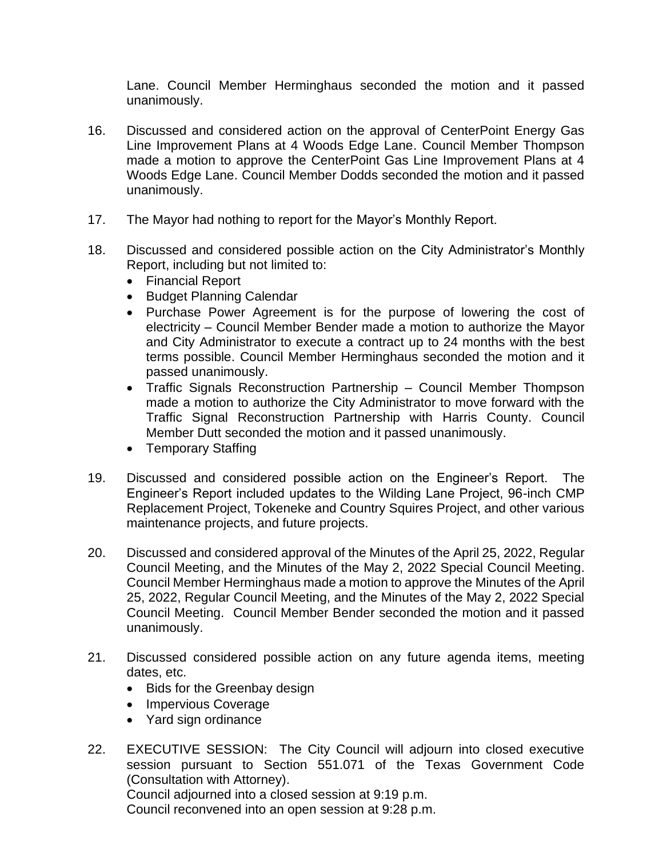Lane. Council Member Herminghaus seconded the motion and it passed unanimously.

- 16. Discussed and considered action on the approval of CenterPoint Energy Gas Line Improvement Plans at 4 Woods Edge Lane. Council Member Thompson made a motion to approve the CenterPoint Gas Line Improvement Plans at 4 Woods Edge Lane. Council Member Dodds seconded the motion and it passed unanimously.
- 17. The Mayor had nothing to report for the Mayor's Monthly Report.
- 18. Discussed and considered possible action on the City Administrator's Monthly Report, including but not limited to:
	- Financial Report
	- Budget Planning Calendar
	- Purchase Power Agreement is for the purpose of lowering the cost of electricity – Council Member Bender made a motion to authorize the Mayor and City Administrator to execute a contract up to 24 months with the best terms possible. Council Member Herminghaus seconded the motion and it passed unanimously.
	- Traffic Signals Reconstruction Partnership Council Member Thompson made a motion to authorize the City Administrator to move forward with the Traffic Signal Reconstruction Partnership with Harris County. Council Member Dutt seconded the motion and it passed unanimously.
	- Temporary Staffing
- 19. Discussed and considered possible action on the Engineer's Report. The Engineer's Report included updates to the Wilding Lane Project, 96-inch CMP Replacement Project, Tokeneke and Country Squires Project, and other various maintenance projects, and future projects.
- 20. Discussed and considered approval of the Minutes of the April 25, 2022, Regular Council Meeting, and the Minutes of the May 2, 2022 Special Council Meeting. Council Member Herminghaus made a motion to approve the Minutes of the April 25, 2022, Regular Council Meeting, and the Minutes of the May 2, 2022 Special Council Meeting. Council Member Bender seconded the motion and it passed unanimously.
- 21. Discussed considered possible action on any future agenda items, meeting dates, etc.
	- Bids for the Greenbay design
	- Impervious Coverage
	- Yard sign ordinance
- 22. EXECUTIVE SESSION: The City Council will adjourn into closed executive session pursuant to Section 551.071 of the Texas Government Code (Consultation with Attorney). Council adjourned into a closed session at 9:19 p.m. Council reconvened into an open session at 9:28 p.m.